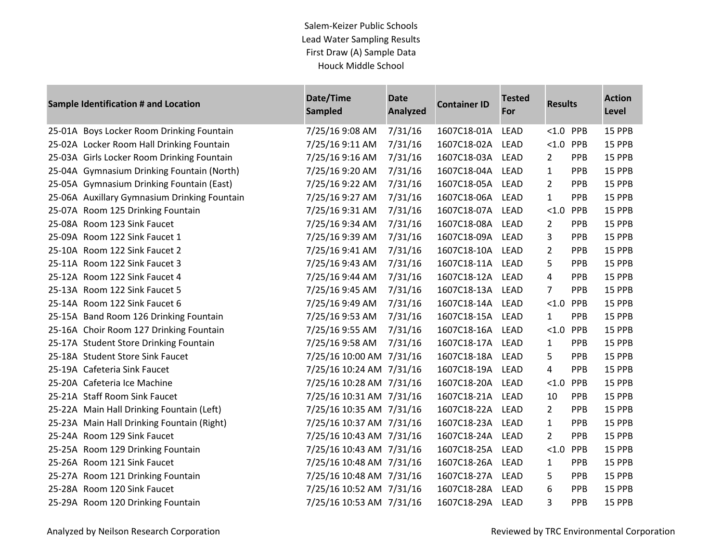| Sample Identification # and Location |                                              | Date/Time<br><b>Sampled</b> | <b>Date</b><br><b>Container ID</b><br><b>Analyzed</b> |                  | <b>Tested</b><br>For | <b>Results</b>        |            | <b>Action</b><br><b>Level</b> |  |
|--------------------------------------|----------------------------------------------|-----------------------------|-------------------------------------------------------|------------------|----------------------|-----------------------|------------|-------------------------------|--|
|                                      | 25-01A Boys Locker Room Drinking Fountain    | 7/25/16 9:08 AM             | 7/31/16                                               | 1607C18-01A      | <b>LEAD</b>          | < 1.0                 | PPB        | 15 PPB                        |  |
|                                      | 25-02A Locker Room Hall Drinking Fountain    | 7/25/16 9:11 AM             | 7/31/16                                               | 1607C18-02A      | <b>LEAD</b>          | < 1.0                 | PPB        | 15 PPB                        |  |
|                                      | 25-03A Girls Locker Room Drinking Fountain   | 7/25/16 9:16 AM             | 7/31/16                                               | 1607C18-03A      | <b>LEAD</b>          | $\mathbf{2}^{\prime}$ | <b>PPB</b> | 15 PPB                        |  |
|                                      | 25-04A Gymnasium Drinking Fountain (North)   | 7/25/16 9:20 AM             | 7/31/16                                               | 1607C18-04A      | <b>LEAD</b>          | $\mathbf{1}$          | <b>PPB</b> | 15 PPB                        |  |
|                                      | 25-05A Gymnasium Drinking Fountain (East)    | 7/25/16 9:22 AM             | 7/31/16                                               | 1607C18-05A      | <b>LEAD</b>          | $\overline{2}$        | <b>PPB</b> | 15 PPB                        |  |
|                                      | 25-06A Auxillary Gymnasium Drinking Fountain | 7/25/16 9:27 AM             | 7/31/16                                               | 1607C18-06A      | <b>LEAD</b>          | $\mathbf{1}$          | <b>PPB</b> | 15 PPB                        |  |
|                                      | 25-07A Room 125 Drinking Fountain            | 7/25/16 9:31 AM             | 7/31/16                                               | 1607C18-07A      | <b>LEAD</b>          | < 1.0                 | PPB        | 15 PPB                        |  |
|                                      | 25-08A Room 123 Sink Faucet                  | 7/25/16 9:34 AM             | 7/31/16                                               | 1607C18-08A      | <b>LEAD</b>          | 2                     | <b>PPB</b> | 15 PPB                        |  |
|                                      | 25-09A Room 122 Sink Faucet 1                | 7/25/16 9:39 AM             | 7/31/16                                               | 1607C18-09A      | <b>LEAD</b>          | 3                     | PPB        | 15 PPB                        |  |
|                                      | 25-10A Room 122 Sink Faucet 2                | 7/25/16 9:41 AM             | 7/31/16                                               | 1607C18-10A      | <b>LEAD</b>          | $\overline{2}$        | PPB        | 15 PPB                        |  |
|                                      | 25-11A Room 122 Sink Faucet 3                | 7/25/16 9:43 AM             | 7/31/16                                               | 1607C18-11A LEAD |                      | 5                     | <b>PPB</b> | 15 PPB                        |  |
|                                      | 25-12A Room 122 Sink Faucet 4                | 7/25/16 9:44 AM             | 7/31/16                                               | 1607C18-12A      | <b>LEAD</b>          | 4                     | <b>PPB</b> | 15 PPB                        |  |
|                                      | 25-13A Room 122 Sink Faucet 5                | 7/25/16 9:45 AM             | 7/31/16                                               | 1607C18-13A      | <b>LEAD</b>          | 7                     | PPB        | 15 PPB                        |  |
|                                      | 25-14A Room 122 Sink Faucet 6                | 7/25/16 9:49 AM             | 7/31/16                                               | 1607C18-14A      | <b>LEAD</b>          | < 1.0                 | PPB        | 15 PPB                        |  |
|                                      | 25-15A Band Room 126 Drinking Fountain       | 7/25/16 9:53 AM             | 7/31/16                                               | 1607C18-15A      | <b>LEAD</b>          | $\mathbf{1}$          | <b>PPB</b> | 15 PPB                        |  |
|                                      | 25-16A Choir Room 127 Drinking Fountain      | 7/25/16 9:55 AM             | 7/31/16                                               | 1607C18-16A      | <b>LEAD</b>          | < 1.0                 | PPB        | 15 PPB                        |  |
|                                      | 25-17A Student Store Drinking Fountain       | 7/25/16 9:58 AM             | 7/31/16                                               | 1607C18-17A      | LEAD                 | 1                     | <b>PPB</b> | 15 PPB                        |  |
|                                      | 25-18A Student Store Sink Faucet             | 7/25/16 10:00 AM 7/31/16    |                                                       | 1607C18-18A      | <b>LEAD</b>          | 5                     | <b>PPB</b> | 15 PPB                        |  |
|                                      | 25-19A Cafeteria Sink Faucet                 | 7/25/16 10:24 AM 7/31/16    |                                                       | 1607C18-19A      | <b>LEAD</b>          | 4                     | <b>PPB</b> | 15 PPB                        |  |
|                                      | 25-20A Cafeteria Ice Machine                 | 7/25/16 10:28 AM 7/31/16    |                                                       | 1607C18-20A      | <b>LEAD</b>          | < 1.0                 | PPB        | 15 PPB                        |  |
|                                      | 25-21A Staff Room Sink Faucet                | 7/25/16 10:31 AM 7/31/16    |                                                       | 1607C18-21A      | <b>LEAD</b>          | 10                    | PPB        | 15 PPB                        |  |
|                                      | 25-22A Main Hall Drinking Fountain (Left)    | 7/25/16 10:35 AM 7/31/16    |                                                       | 1607C18-22A      | <b>LEAD</b>          | $\overline{2}$        | <b>PPB</b> | 15 PPB                        |  |
|                                      | 25-23A Main Hall Drinking Fountain (Right)   | 7/25/16 10:37 AM 7/31/16    |                                                       | 1607C18-23A      | LEAD                 | $\mathbf{1}$          | PPB        | 15 PPB                        |  |
|                                      | 25-24A Room 129 Sink Faucet                  | 7/25/16 10:43 AM 7/31/16    |                                                       | 1607C18-24A      | <b>LEAD</b>          | $\overline{2}$        | PPB        | 15 PPB                        |  |
|                                      | 25-25A Room 129 Drinking Fountain            | 7/25/16 10:43 AM 7/31/16    |                                                       | 1607C18-25A      | <b>LEAD</b>          | < 1.0                 | PPB        | 15 PPB                        |  |
|                                      | 25-26A Room 121 Sink Faucet                  | 7/25/16 10:48 AM 7/31/16    |                                                       | 1607C18-26A      | LEAD                 | $\mathbf{1}$          | <b>PPB</b> | 15 PPB                        |  |
|                                      | 25-27A Room 121 Drinking Fountain            | 7/25/16 10:48 AM 7/31/16    |                                                       | 1607C18-27A      | LEAD                 | 5.                    | PPB        | 15 PPB                        |  |
|                                      | 25-28A Room 120 Sink Faucet                  | 7/25/16 10:52 AM 7/31/16    |                                                       | 1607C18-28A      | LEAD                 | 6                     | <b>PPB</b> | 15 PPB                        |  |
|                                      | 25-29A Room 120 Drinking Fountain            | 7/25/16 10:53 AM 7/31/16    |                                                       | 1607C18-29A      | <b>LEAD</b>          | 3                     | <b>PPB</b> | 15 PPB                        |  |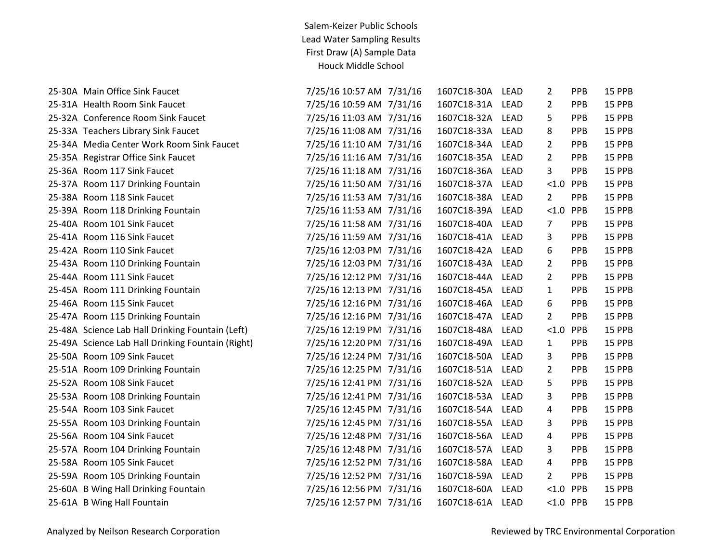| 25-30A Main Office Sink Faucet                    | 7/25/16 10:57 AM 7/31/16 | 1607C18-30A      | LEAD        | 2              | PPB        | 15 PPB |
|---------------------------------------------------|--------------------------|------------------|-------------|----------------|------------|--------|
| 25-31A Health Room Sink Faucet                    | 7/25/16 10:59 AM 7/31/16 | 1607C18-31A LEAD |             | $\overline{2}$ | <b>PPB</b> | 15 PPB |
| 25-32A Conference Room Sink Faucet                | 7/25/16 11:03 AM 7/31/16 | 1607C18-32A      | <b>LEAD</b> | 5              | PPB        | 15 PPB |
| 25-33A Teachers Library Sink Faucet               | 7/25/16 11:08 AM 7/31/16 | 1607C18-33A LEAD |             | 8              | PPB        | 15 PPB |
| 25-34A Media Center Work Room Sink Faucet         | 7/25/16 11:10 AM 7/31/16 | 1607C18-34A LEAD |             | $\overline{2}$ | PPB        | 15 PPB |
| 25-35A Registrar Office Sink Faucet               | 7/25/16 11:16 AM 7/31/16 | 1607C18-35A LEAD |             | $\overline{2}$ | PPB        | 15 PPB |
| 25-36A Room 117 Sink Faucet                       | 7/25/16 11:18 AM 7/31/16 | 1607C18-36A LEAD |             | 3              | PPB        | 15 PPB |
| 25-37A Room 117 Drinking Fountain                 | 7/25/16 11:50 AM 7/31/16 | 1607C18-37A LEAD |             | $< 1.0$ PPB    |            | 15 PPB |
| 25-38A Room 118 Sink Faucet                       | 7/25/16 11:53 AM 7/31/16 | 1607C18-38A      | <b>LEAD</b> | $\overline{2}$ | PPB        | 15 PPB |
| 25-39A Room 118 Drinking Fountain                 | 7/25/16 11:53 AM 7/31/16 | 1607C18-39A LEAD |             | < 1.0          | PPB        | 15 PPB |
| 25-40A Room 101 Sink Faucet                       | 7/25/16 11:58 AM 7/31/16 | 1607C18-40A      | LEAD        | 7              | PPB        | 15 PPB |
| 25-41A Room 116 Sink Faucet                       | 7/25/16 11:59 AM 7/31/16 | 1607C18-41A      | <b>LEAD</b> | 3              | PPB        | 15 PPB |
| 25-42A Room 110 Sink Faucet                       | 7/25/16 12:03 PM 7/31/16 | 1607C18-42A LEAD |             | 6              | PPB        | 15 PPB |
| 25-43A Room 110 Drinking Fountain                 | 7/25/16 12:03 PM 7/31/16 | 1607C18-43A      | LEAD        | $\overline{2}$ | PPB        | 15 PPB |
| 25-44A Room 111 Sink Faucet                       | 7/25/16 12:12 PM 7/31/16 | 1607C18-44A      | LEAD        | $\overline{2}$ | <b>PPB</b> | 15 PPB |
| 25-45A Room 111 Drinking Fountain                 | 7/25/16 12:13 PM 7/31/16 | 1607C18-45A LEAD |             | 1              | PPB        | 15 PPB |
| 25-46A Room 115 Sink Faucet                       | 7/25/16 12:16 PM 7/31/16 | 1607C18-46A      | LEAD        | 6              | PPB        | 15 PPB |
| 25-47A Room 115 Drinking Fountain                 | 7/25/16 12:16 PM 7/31/16 | 1607C18-47A LEAD |             | $\overline{2}$ | PPB        | 15 PPB |
| 25-48A Science Lab Hall Drinking Fountain (Left)  | 7/25/16 12:19 PM 7/31/16 | 1607C18-48A      | LEAD        | $< 1.0$ PPB    |            | 15 PPB |
| 25-49A Science Lab Hall Drinking Fountain (Right) | 7/25/16 12:20 PM 7/31/16 | 1607C18-49A      | <b>LEAD</b> | $\mathbf{1}$   | PPB        | 15 PPB |
| 25-50A Room 109 Sink Faucet                       | 7/25/16 12:24 PM 7/31/16 | 1607C18-50A LEAD |             | 3              | PPB        | 15 PPB |
| 25-51A Room 109 Drinking Fountain                 | 7/25/16 12:25 PM 7/31/16 | 1607C18-51A      | <b>LEAD</b> | $\overline{2}$ | PPB        | 15 PPB |
| 25-52A Room 108 Sink Faucet                       | 7/25/16 12:41 PM 7/31/16 | 1607C18-52A      | LEAD        | 5              | PPB        | 15 PPB |
| 25-53A Room 108 Drinking Fountain                 | 7/25/16 12:41 PM 7/31/16 | 1607C18-53A LEAD |             | 3              | PPB        | 15 PPB |
| 25-54A Room 103 Sink Faucet                       | 7/25/16 12:45 PM 7/31/16 | 1607C18-54A      | LEAD        | 4              | <b>PPB</b> | 15 PPB |
| 25-55A Room 103 Drinking Fountain                 | 7/25/16 12:45 PM 7/31/16 | 1607C18-55A      | <b>LEAD</b> | 3              | PPB        | 15 PPB |
| 25-56A Room 104 Sink Faucet                       | 7/25/16 12:48 PM 7/31/16 | 1607C18-56A      | <b>LEAD</b> | 4              | PPB        | 15 PPB |
| 25-57A Room 104 Drinking Fountain                 | 7/25/16 12:48 PM 7/31/16 | 1607C18-57A LEAD |             | 3              | PPB        | 15 PPB |
| 25-58A Room 105 Sink Faucet                       | 7/25/16 12:52 PM 7/31/16 | 1607C18-58A      | LEAD        | 4              | PPB        | 15 PPB |
| 25-59A Room 105 Drinking Fountain                 | 7/25/16 12:52 PM 7/31/16 | 1607C18-59A LEAD |             | $\overline{2}$ | PPB        | 15 PPB |
| 25-60A B Wing Hall Drinking Fountain              | 7/25/16 12:56 PM 7/31/16 | 1607C18-60A      | LEAD        | $< 1.0$ PPB    |            | 15 PPB |
| 25-61A B Wing Hall Fountain                       | 7/25/16 12:57 PM 7/31/16 | 1607C18-61A LEAD |             | $< 1.0$ PPB    |            | 15 PPB |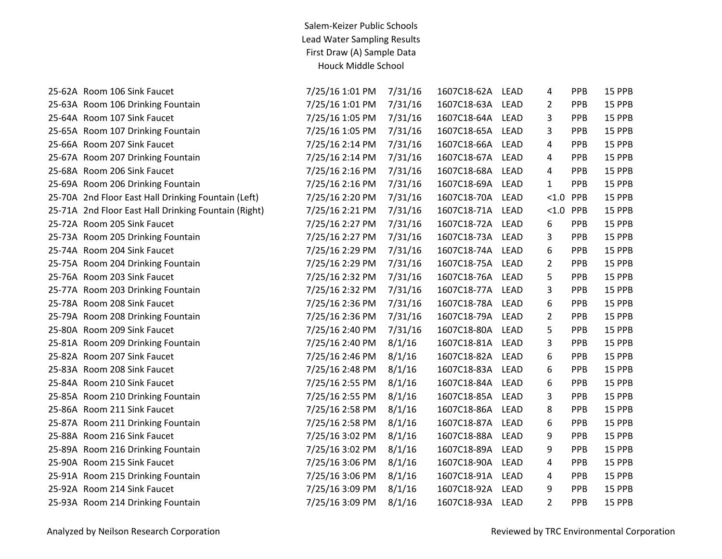| 25-62A Room 106 Sink Faucet                          | 7/25/16 1:01 PM | 7/31/16 | 1607C18-62A | <b>LEAD</b> | 4              | PPB        | 15 PPB |
|------------------------------------------------------|-----------------|---------|-------------|-------------|----------------|------------|--------|
| 25-63A Room 106 Drinking Fountain                    | 7/25/16 1:01 PM | 7/31/16 | 1607C18-63A | <b>LEAD</b> | 2              | PPB        | 15 PPB |
| 25-64A Room 107 Sink Faucet                          | 7/25/16 1:05 PM | 7/31/16 | 1607C18-64A | <b>LEAD</b> | 3              | PPB        | 15 PPB |
| 25-65A Room 107 Drinking Fountain                    | 7/25/16 1:05 PM | 7/31/16 | 1607C18-65A | <b>LEAD</b> | 3              | PPB        | 15 PPB |
| 25-66A Room 207 Sink Faucet                          | 7/25/16 2:14 PM | 7/31/16 | 1607C18-66A | <b>LEAD</b> | 4              | <b>PPB</b> | 15 PPB |
| 25-67A Room 207 Drinking Fountain                    | 7/25/16 2:14 PM | 7/31/16 | 1607C18-67A | <b>LEAD</b> | 4              | PPB        | 15 PPB |
| 25-68A Room 206 Sink Faucet                          | 7/25/16 2:16 PM | 7/31/16 | 1607C18-68A | <b>LEAD</b> | 4              | PPB        | 15 PPB |
| 25-69A Room 206 Drinking Fountain                    | 7/25/16 2:16 PM | 7/31/16 | 1607C18-69A | <b>LEAD</b> | $\mathbf{1}$   | PPB        | 15 PPB |
| 25-70A 2nd Floor East Hall Drinking Fountain (Left)  | 7/25/16 2:20 PM | 7/31/16 | 1607C18-70A | <b>LEAD</b> | < 1.0          | PPB        | 15 PPB |
| 25-71A 2nd Floor East Hall Drinking Fountain (Right) | 7/25/16 2:21 PM | 7/31/16 | 1607C18-71A | <b>LEAD</b> | $< 1.0$ PPB    |            | 15 PPB |
| 25-72A Room 205 Sink Faucet                          | 7/25/16 2:27 PM | 7/31/16 | 1607C18-72A | <b>LEAD</b> | 6              | PPB        | 15 PPB |
| 25-73A Room 205 Drinking Fountain                    | 7/25/16 2:27 PM | 7/31/16 | 1607C18-73A | LEAD        | 3              | PPB        | 15 PPB |
| 25-74A Room 204 Sink Faucet                          | 7/25/16 2:29 PM | 7/31/16 | 1607C18-74A | <b>LEAD</b> | 6              | PPB        | 15 PPB |
| 25-75A Room 204 Drinking Fountain                    | 7/25/16 2:29 PM | 7/31/16 | 1607C18-75A | <b>LEAD</b> | $\overline{2}$ | PPB        | 15 PPB |
| 25-76A Room 203 Sink Faucet                          | 7/25/16 2:32 PM | 7/31/16 | 1607C18-76A | <b>LEAD</b> | 5              | PPB        | 15 PPB |
| 25-77A Room 203 Drinking Fountain                    | 7/25/16 2:32 PM | 7/31/16 | 1607C18-77A | <b>LEAD</b> | 3              | PPB        | 15 PPB |
| 25-78A Room 208 Sink Faucet                          | 7/25/16 2:36 PM | 7/31/16 | 1607C18-78A | <b>LEAD</b> | 6              | PPB        | 15 PPB |
| 25-79A Room 208 Drinking Fountain                    | 7/25/16 2:36 PM | 7/31/16 | 1607C18-79A | <b>LEAD</b> | 2              | PPB        | 15 PPB |
| 25-80A Room 209 Sink Faucet                          | 7/25/16 2:40 PM | 7/31/16 | 1607C18-80A | <b>LEAD</b> | 5              | PPB        | 15 PPB |
| 25-81A Room 209 Drinking Fountain                    | 7/25/16 2:40 PM | 8/1/16  | 1607C18-81A | <b>LEAD</b> | 3              | PPB        | 15 PPB |
| 25-82A Room 207 Sink Faucet                          | 7/25/16 2:46 PM | 8/1/16  | 1607C18-82A | LEAD        | 6              | PPB        | 15 PPB |
| 25-83A Room 208 Sink Faucet                          | 7/25/16 2:48 PM | 8/1/16  | 1607C18-83A | <b>LEAD</b> | 6              | <b>PPB</b> | 15 PPB |
| 25-84A Room 210 Sink Faucet                          | 7/25/16 2:55 PM | 8/1/16  | 1607C18-84A | <b>LEAD</b> | 6              | PPB        | 15 PPB |
| 25-85A Room 210 Drinking Fountain                    | 7/25/16 2:55 PM | 8/1/16  | 1607C18-85A | <b>LEAD</b> | 3              | PPB        | 15 PPB |
| 25-86A Room 211 Sink Faucet                          | 7/25/16 2:58 PM | 8/1/16  | 1607C18-86A | <b>LEAD</b> | 8              | PPB        | 15 PPB |
| 25-87A Room 211 Drinking Fountain                    | 7/25/16 2:58 PM | 8/1/16  | 1607C18-87A | <b>LEAD</b> | 6              | PPB        | 15 PPB |
| 25-88A Room 216 Sink Faucet                          | 7/25/16 3:02 PM | 8/1/16  | 1607C18-88A | <b>LEAD</b> | 9              | PPB        | 15 PPB |
| 25-89A Room 216 Drinking Fountain                    | 7/25/16 3:02 PM | 8/1/16  | 1607C18-89A | <b>LEAD</b> | 9              | PPB        | 15 PPB |
| 25-90A Room 215 Sink Faucet                          | 7/25/16 3:06 PM | 8/1/16  | 1607C18-90A | <b>LEAD</b> | 4              | PPB        | 15 PPB |
| 25-91A Room 215 Drinking Fountain                    | 7/25/16 3:06 PM | 8/1/16  | 1607C18-91A | <b>LEAD</b> | 4              | PPB        | 15 PPB |
| 25-92A Room 214 Sink Faucet                          | 7/25/16 3:09 PM | 8/1/16  | 1607C18-92A | <b>LEAD</b> | 9              | PPB        | 15 PPB |
| 25-93A Room 214 Drinking Fountain                    | 7/25/16 3:09 PM | 8/1/16  | 1607C18-93A | LEAD        | $\overline{2}$ | PPB        | 15 PPB |
|                                                      |                 |         |             |             |                |            |        |